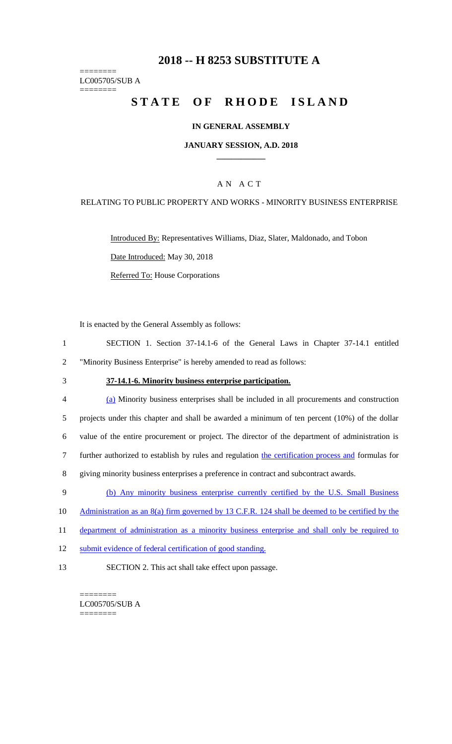# **2018 -- H 8253 SUBSTITUTE A**

======== LC005705/SUB A

========

# STATE OF RHODE ISLAND

## **IN GENERAL ASSEMBLY**

#### **JANUARY SESSION, A.D. 2018 \_\_\_\_\_\_\_\_\_\_\_\_**

## A N A C T

#### RELATING TO PUBLIC PROPERTY AND WORKS - MINORITY BUSINESS ENTERPRISE

Introduced By: Representatives Williams, Diaz, Slater, Maldonado, and Tobon Date Introduced: May 30, 2018 Referred To: House Corporations

It is enacted by the General Assembly as follows:

- 1 SECTION 1. Section 37-14.1-6 of the General Laws in Chapter 37-14.1 entitled 2 "Minority Business Enterprise" is hereby amended to read as follows:
- 

## 3 **37-14.1-6. Minority business enterprise participation.**

| $\overline{4}$ | (a) Minority business enterprises shall be included in all procurements and construction           |
|----------------|----------------------------------------------------------------------------------------------------|
| 5              | projects under this chapter and shall be awarded a minimum of ten percent $(10\%)$ of the dollar   |
| 6              | value of the entire procurement or project. The director of the department of administration is    |
|                | further authorized to establish by rules and regulation the certification process and formulas for |
| 8              | giving minority business enterprises a preference in contract and subcontract awards.              |

- 9 (b) Any minority business enterprise currently certified by the U.S. Small Business
- 10 Administration as an 8(a) firm governed by 13 C.F.R. 124 shall be deemed to be certified by the
- 11 department of administration as a minority business enterprise and shall only be required to
- 12 submit evidence of federal certification of good standing.
- 13 SECTION 2. This act shall take effect upon passage.

======== LC005705/SUB A ========